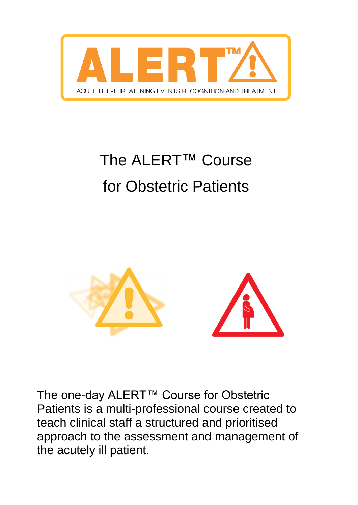

# The ALERT™ Course for Obstetric Patients



The one-day ALERT™ Course for Obstetric Patients is a multi-professional course created to teach clinical staff a structured and prioritised approach to the assessment and management of the acutely ill patient.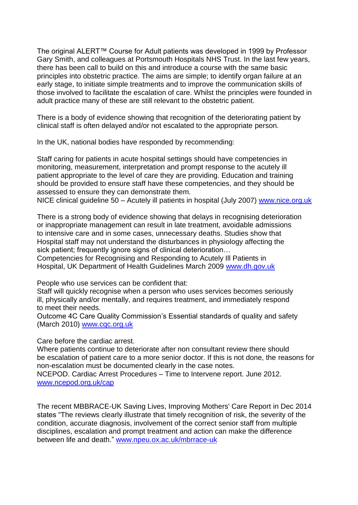The original ALERT™ Course for Adult patients was developed in 1999 by Professor Gary Smith, and colleagues at Portsmouth Hospitals NHS Trust. In the last few years, there has been call to build on this and introduce a course with the same basic principles into obstetric practice. The aims are simple; to identify organ failure at an early stage, to initiate simple treatments and to improve the communication skills of those involved to facilitate the escalation of care. Whilst the principles were founded in adult practice many of these are still relevant to the obstetric patient.

There is a body of evidence showing that recognition of the deteriorating patient by clinical staff is often delayed and/or not escalated to the appropriate person.

In the UK, national bodies have responded by recommending:

Staff caring for patients in acute hospital settings should have competencies in monitoring, measurement, interpretation and prompt response to the acutely ill patient appropriate to the level of care they are providing. Education and training should be provided to ensure staff have these competencies, and they should be assessed to ensure they can demonstrate them.

NICE clinical guideline 50 – Acutely ill patients in hospital (July 2007) [www.nice.org.uk](http://www.nice.org.uk/)

There is a strong body of evidence showing that delays in recognising deterioration or inappropriate management can result in late treatment, avoidable admissions to intensive care and in some cases, unnecessary deaths. Studies show that Hospital staff may not understand the disturbances in physiology affecting the sick patient; frequently ignore signs of clinical deterioration…

Competencies for Recognising and Responding to Acutely Ill Patients in Hospital, UK Department of Health Guidelines March 2009 [www.dh.gov.uk](http://www.dh.gov.uk/)

People who use services can be confident that:

Staff will quickly recognise when a person who uses services becomes seriously ill, physically and/or mentally, and requires treatment, and immediately respond to meet their needs.

Outcome 4C Care Quality Commission's Essential standards of quality and safety (March 2010) [www.cqc.org.uk](http://www.cqc.org.uk/)

Care before the cardiac arrest.

Where patients continue to deteriorate after non consultant review there should be escalation of patient care to a more senior doctor. If this is not done, the reasons for non-escalation must be documented clearly in the case notes.

NCEPOD. Cardiac Arrest Procedures – Time to Intervene report. June 2012. [www.ncepod.org.uk/cap](http://www.ncepod.org.uk/cap)

The recent MBBRACE-UK Saving Lives, Improving Mothers' Care Report in Dec 2014 states "The reviews clearly illustrate that timely recognition of risk, the severity of the condition, accurate diagnosis, involvement of the correct senior staff from multiple disciplines, escalation and prompt treatment and action can make the difference between life and death." [www.npeu.ox.ac.uk/mbrrace-uk](http://www.npeu.ox.ac.uk/mbrrace-uk)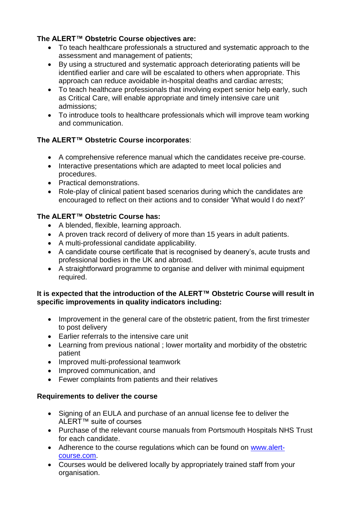### **The ALERT™ Obstetric Course objectives are:**

- To teach healthcare professionals a structured and systematic approach to the assessment and management of patients;
- By using a structured and systematic approach deteriorating patients will be identified earlier and care will be escalated to others when appropriate. This approach can reduce avoidable in-hospital deaths and cardiac arrests;
- To teach healthcare professionals that involving expert senior help early, such as Critical Care, will enable appropriate and timely intensive care unit admissions;
- To introduce tools to healthcare professionals which will improve team working and communication.

## **The ALERT™ Obstetric Course incorporates**:

- A comprehensive reference manual which the candidates receive pre-course.
- Interactive presentations which are adapted to meet local policies and procedures.
- Practical demonstrations.
- Role-play of clinical patient based scenarios during which the candidates are encouraged to reflect on their actions and to consider 'What would I do next?'

### **The ALERT™ Obstetric Course has:**

- A blended, flexible, learning approach.
- A proven track record of delivery of more than 15 years in adult patients.
- A multi-professional candidate applicability.
- A candidate course certificate that is recognised by deanery's, acute trusts and professional bodies in the UK and abroad.
- A straightforward programme to organise and deliver with minimal equipment required.

#### **It is expected that the introduction of the ALERT™ Obstetric Course will result in specific improvements in quality indicators including:**

- Improvement in the general care of the obstetric patient, from the first trimester to post delivery
- Earlier referrals to the intensive care unit
- Learning from previous national ; lower mortality and morbidity of the obstetric patient
- Improved multi-professional teamwork
- Improved communication, and
- Fewer complaints from patients and their relatives

### **Requirements to deliver the course**

- Signing of an EULA and purchase of an annual license fee to deliver the ALERT™ suite of courses
- Purchase of the relevant course manuals from Portsmouth Hospitals NHS Trust for each candidate.
- Adherence to the course regulations which can be found on [www.alert](http://www.alert-course.com/)[course.com.](http://www.alert-course.com/)
- Courses would be delivered locally by appropriately trained staff from your organisation.